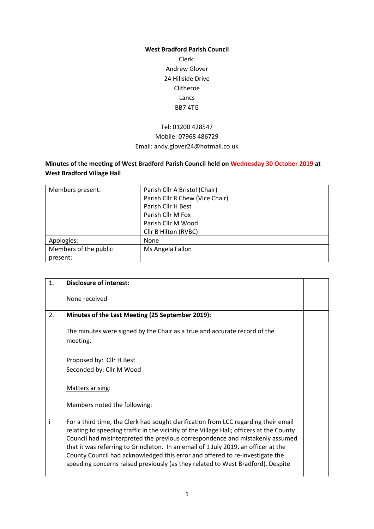#### **West Bradford Parish Council**

Clerk: Andrew Glover 24 Hillside Drive Clitheroe Lancs BB7 4TG

## Tel: 01200 428547 Mobile: 07968 486729 Email: andy.glover24@hotmail.co.uk

# **Minutes of the meeting of West Bradford Parish Council held on Wednesday 30 October 2019 at West Bradford Village Hall**

| Members present:      | Parish Cllr A Bristol (Chair)   |  |
|-----------------------|---------------------------------|--|
|                       | Parish Cllr R Chew (Vice Chair) |  |
|                       | Parish Cllr H Best              |  |
|                       | Parish Cllr M Fox               |  |
|                       | Parish Cllr M Wood              |  |
|                       | Cllr B Hilton (RVBC)            |  |
| Apologies:            | None                            |  |
| Members of the public | Ms Angela Fallon                |  |
| present:              |                                 |  |

| 1. | <b>Disclosure of interest:</b>                                                                                                                                                                                                                                                                                                                                                                                                                                                                                            |  |
|----|---------------------------------------------------------------------------------------------------------------------------------------------------------------------------------------------------------------------------------------------------------------------------------------------------------------------------------------------------------------------------------------------------------------------------------------------------------------------------------------------------------------------------|--|
|    | None received                                                                                                                                                                                                                                                                                                                                                                                                                                                                                                             |  |
| 2. | Minutes of the Last Meeting (25 September 2019):                                                                                                                                                                                                                                                                                                                                                                                                                                                                          |  |
|    | The minutes were signed by the Chair as a true and accurate record of the<br>meeting.                                                                                                                                                                                                                                                                                                                                                                                                                                     |  |
|    | Proposed by: Cllr H Best                                                                                                                                                                                                                                                                                                                                                                                                                                                                                                  |  |
|    | Seconded by: Cllr M Wood                                                                                                                                                                                                                                                                                                                                                                                                                                                                                                  |  |
|    | Matters arising:                                                                                                                                                                                                                                                                                                                                                                                                                                                                                                          |  |
|    | Members noted the following:                                                                                                                                                                                                                                                                                                                                                                                                                                                                                              |  |
| i  | For a third time, the Clerk had sought clarification from LCC regarding their email<br>relating to speeding traffic in the vicinity of the Village Hall; officers at the County<br>Council had misinterpreted the previous correspondence and mistakenly assumed<br>that it was referring to Grindleton. In an email of 1 July 2019, an officer at the<br>County Council had acknowledged this error and offered to re-investigate the<br>speeding concerns raised previously (as they related to West Bradford). Despite |  |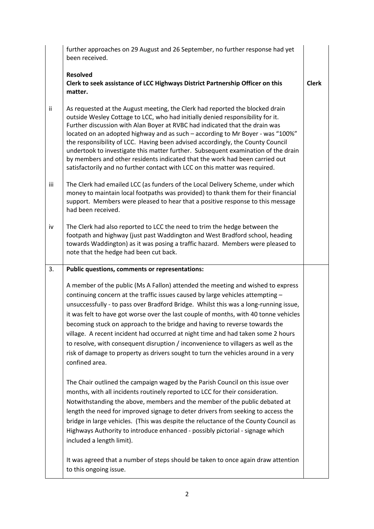|     | further approaches on 29 August and 26 September, no further response had yet<br>been received.                                                                                                                                                                                                                                                                                                                                                                                                                                                                                                                                                                                                                   |              |
|-----|-------------------------------------------------------------------------------------------------------------------------------------------------------------------------------------------------------------------------------------------------------------------------------------------------------------------------------------------------------------------------------------------------------------------------------------------------------------------------------------------------------------------------------------------------------------------------------------------------------------------------------------------------------------------------------------------------------------------|--------------|
|     | <b>Resolved</b><br>Clerk to seek assistance of LCC Highways District Partnership Officer on this<br>matter.                                                                                                                                                                                                                                                                                                                                                                                                                                                                                                                                                                                                       | <b>Clerk</b> |
| ii  | As requested at the August meeting, the Clerk had reported the blocked drain<br>outside Wesley Cottage to LCC, who had initially denied responsibility for it.<br>Further discussion with Alan Boyer at RVBC had indicated that the drain was<br>located on an adopted highway and as such - according to Mr Boyer - was "100%"<br>the responsibility of LCC. Having been advised accordingly, the County Council<br>undertook to investigate this matter further. Subsequent examination of the drain<br>by members and other residents indicated that the work had been carried out<br>satisfactorily and no further contact with LCC on this matter was required.                                              |              |
| iii | The Clerk had emailed LCC (as funders of the Local Delivery Scheme, under which<br>money to maintain local footpaths was provided) to thank them for their financial<br>support. Members were pleased to hear that a positive response to this message<br>had been received.                                                                                                                                                                                                                                                                                                                                                                                                                                      |              |
| iv  | The Clerk had also reported to LCC the need to trim the hedge between the<br>footpath and highway (just past Waddington and West Bradford school, heading<br>towards Waddington) as it was posing a traffic hazard. Members were pleased to<br>note that the hedge had been cut back.                                                                                                                                                                                                                                                                                                                                                                                                                             |              |
|     |                                                                                                                                                                                                                                                                                                                                                                                                                                                                                                                                                                                                                                                                                                                   |              |
| 3.  | Public questions, comments or representations:                                                                                                                                                                                                                                                                                                                                                                                                                                                                                                                                                                                                                                                                    |              |
|     | A member of the public (Ms A Fallon) attended the meeting and wished to express<br>continuing concern at the traffic issues caused by large vehicles attempting -<br>unsuccessfully - to pass over Bradford Bridge. Whilst this was a long-running issue,<br>it was felt to have got worse over the last couple of months, with 40 tonne vehicles<br>becoming stuck on approach to the bridge and having to reverse towards the<br>village. A recent incident had occurred at night time and had taken some 2 hours<br>to resolve, with consequent disruption / inconvenience to villagers as well as the<br>risk of damage to property as drivers sought to turn the vehicles around in a very<br>confined area. |              |
|     | The Chair outlined the campaign waged by the Parish Council on this issue over<br>months, with all incidents routinely reported to LCC for their consideration.<br>Notwithstanding the above, members and the member of the public debated at<br>length the need for improved signage to deter drivers from seeking to access the<br>bridge in large vehicles. (This was despite the reluctance of the County Council as<br>Highways Authority to introduce enhanced - possibly pictorial - signage which<br>included a length limit).                                                                                                                                                                            |              |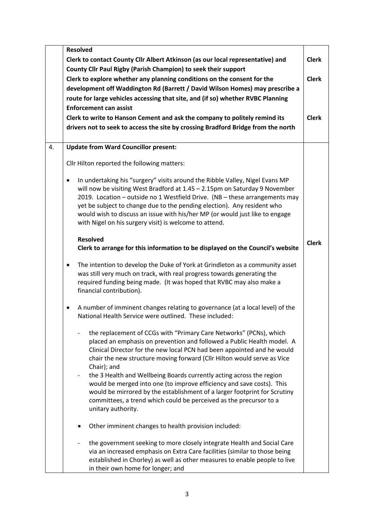|    | <b>Resolved</b>                                                                |                                                                                                                                                                                                                                                                                                                                                                                                                                                                |              |
|----|--------------------------------------------------------------------------------|----------------------------------------------------------------------------------------------------------------------------------------------------------------------------------------------------------------------------------------------------------------------------------------------------------------------------------------------------------------------------------------------------------------------------------------------------------------|--------------|
|    | Clerk to contact County Cllr Albert Atkinson (as our local representative) and |                                                                                                                                                                                                                                                                                                                                                                                                                                                                | <b>Clerk</b> |
|    | County Cllr Paul Rigby (Parish Champion) to seek their support                 |                                                                                                                                                                                                                                                                                                                                                                                                                                                                |              |
|    |                                                                                | Clerk to explore whether any planning conditions on the consent for the                                                                                                                                                                                                                                                                                                                                                                                        | <b>Clerk</b> |
|    |                                                                                | development off Waddington Rd (Barrett / David Wilson Homes) may prescribe a                                                                                                                                                                                                                                                                                                                                                                                   |              |
|    |                                                                                | route for large vehicles accessing that site, and (if so) whether RVBC Planning                                                                                                                                                                                                                                                                                                                                                                                |              |
|    |                                                                                | <b>Enforcement can assist</b>                                                                                                                                                                                                                                                                                                                                                                                                                                  |              |
|    |                                                                                |                                                                                                                                                                                                                                                                                                                                                                                                                                                                | <b>Clerk</b> |
|    |                                                                                | Clerk to write to Hanson Cement and ask the company to politely remind its                                                                                                                                                                                                                                                                                                                                                                                     |              |
|    |                                                                                | drivers not to seek to access the site by crossing Bradford Bridge from the north                                                                                                                                                                                                                                                                                                                                                                              |              |
| 4. |                                                                                | <b>Update from Ward Councillor present:</b>                                                                                                                                                                                                                                                                                                                                                                                                                    |              |
|    |                                                                                | Cllr Hilton reported the following matters:                                                                                                                                                                                                                                                                                                                                                                                                                    |              |
|    | $\bullet$                                                                      | In undertaking his "surgery" visits around the Ribble Valley, Nigel Evans MP<br>will now be visiting West Bradford at 1.45 - 2.15pm on Saturday 9 November<br>2019. Location - outside no 1 Westfield Drive. (NB - these arrangements may<br>yet be subject to change due to the pending election). Any resident who<br>would wish to discuss an issue with his/her MP (or would just like to engage<br>with Nigel on his surgery visit) is welcome to attend. |              |
|    |                                                                                | <b>Resolved</b><br>Clerk to arrange for this information to be displayed on the Council's website                                                                                                                                                                                                                                                                                                                                                              | <b>Clerk</b> |
|    | ٠                                                                              | The intention to develop the Duke of York at Grindleton as a community asset<br>was still very much on track, with real progress towards generating the<br>required funding being made. (It was hoped that RVBC may also make a<br>financial contribution).                                                                                                                                                                                                    |              |
|    | ٠                                                                              | A number of imminent changes relating to governance (at a local level) of the<br>National Health Service were outlined. These included:                                                                                                                                                                                                                                                                                                                        |              |
|    |                                                                                | the replacement of CCGs with "Primary Care Networks" (PCNs), which<br>placed an emphasis on prevention and followed a Public Health model. A<br>Clinical Director for the new local PCN had been appointed and he would<br>chair the new structure moving forward (Cllr Hilton would serve as Vice<br>Chair); and                                                                                                                                              |              |
|    |                                                                                | the 3 Health and Wellbeing Boards currently acting across the region<br>would be merged into one (to improve efficiency and save costs). This<br>would be mirrored by the establishment of a larger footprint for Scrutiny<br>committees, a trend which could be perceived as the precursor to a<br>unitary authority.                                                                                                                                         |              |
|    |                                                                                | Other imminent changes to health provision included:                                                                                                                                                                                                                                                                                                                                                                                                           |              |
|    |                                                                                | the government seeking to more closely integrate Health and Social Care<br>via an increased emphasis on Extra Care facilities (similar to those being<br>established in Chorley) as well as other measures to enable people to live<br>in their own home for longer; and                                                                                                                                                                                       |              |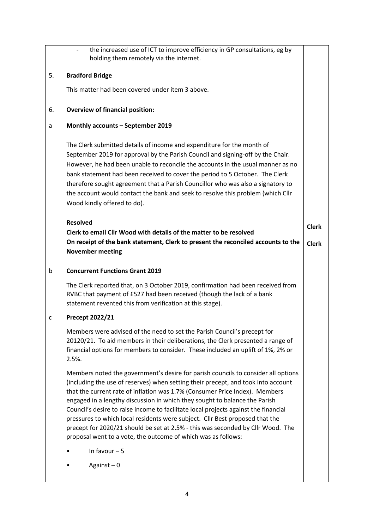|    | the increased use of ICT to improve efficiency in GP consultations, eg by<br>holding them remotely via the internet.                                                                                                                                                                                                                                                                                                                                                                                                                                                                                                                                           |              |
|----|----------------------------------------------------------------------------------------------------------------------------------------------------------------------------------------------------------------------------------------------------------------------------------------------------------------------------------------------------------------------------------------------------------------------------------------------------------------------------------------------------------------------------------------------------------------------------------------------------------------------------------------------------------------|--------------|
| 5. | <b>Bradford Bridge</b>                                                                                                                                                                                                                                                                                                                                                                                                                                                                                                                                                                                                                                         |              |
|    | This matter had been covered under item 3 above.                                                                                                                                                                                                                                                                                                                                                                                                                                                                                                                                                                                                               |              |
| 6. | <b>Overview of financial position:</b>                                                                                                                                                                                                                                                                                                                                                                                                                                                                                                                                                                                                                         |              |
| a  | Monthly accounts - September 2019                                                                                                                                                                                                                                                                                                                                                                                                                                                                                                                                                                                                                              |              |
|    | The Clerk submitted details of income and expenditure for the month of<br>September 2019 for approval by the Parish Council and signing-off by the Chair.<br>However, he had been unable to reconcile the accounts in the usual manner as no<br>bank statement had been received to cover the period to 5 October. The Clerk<br>therefore sought agreement that a Parish Councillor who was also a signatory to<br>the account would contact the bank and seek to resolve this problem (which Cllr<br>Wood kindly offered to do).                                                                                                                              |              |
|    | <b>Resolved</b>                                                                                                                                                                                                                                                                                                                                                                                                                                                                                                                                                                                                                                                | <b>Clerk</b> |
|    | Clerk to email Cllr Wood with details of the matter to be resolved<br>On receipt of the bank statement, Clerk to present the reconciled accounts to the<br><b>November meeting</b>                                                                                                                                                                                                                                                                                                                                                                                                                                                                             | <b>Clerk</b> |
| b  | <b>Concurrent Functions Grant 2019</b>                                                                                                                                                                                                                                                                                                                                                                                                                                                                                                                                                                                                                         |              |
|    | The Clerk reported that, on 3 October 2019, confirmation had been received from<br>RVBC that payment of £527 had been received (though the lack of a bank<br>statement revented this from verification at this stage).                                                                                                                                                                                                                                                                                                                                                                                                                                         |              |
| C  | Precept 2022/21                                                                                                                                                                                                                                                                                                                                                                                                                                                                                                                                                                                                                                                |              |
|    | Members were advised of the need to set the Parish Council's precept for<br>20120/21. To aid members in their deliberations, the Clerk presented a range of<br>financial options for members to consider. These included an uplift of 1%, 2% or<br>2.5%.                                                                                                                                                                                                                                                                                                                                                                                                       |              |
|    | Members noted the government's desire for parish councils to consider all options<br>(including the use of reserves) when setting their precept, and took into account<br>that the current rate of inflation was 1.7% (Consumer Price Index). Members<br>engaged in a lengthy discussion in which they sought to balance the Parish<br>Council's desire to raise income to facilitate local projects against the financial<br>pressures to which local residents were subject. Cllr Best proposed that the<br>precept for 2020/21 should be set at 2.5% - this was seconded by Cllr Wood. The<br>proposal went to a vote, the outcome of which was as follows: |              |
|    | In favour $-5$                                                                                                                                                                                                                                                                                                                                                                                                                                                                                                                                                                                                                                                 |              |
|    | Against $-0$                                                                                                                                                                                                                                                                                                                                                                                                                                                                                                                                                                                                                                                   |              |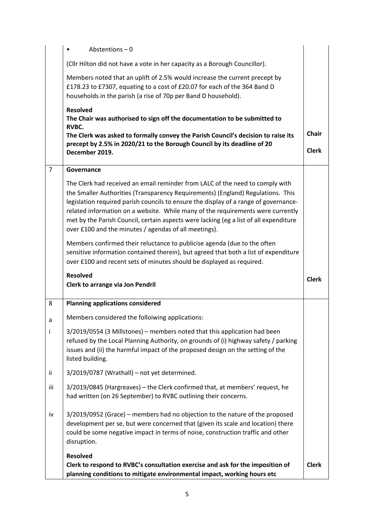|                | Abstentions $-0$                                                                                                                                                                                                                                                                                                                                                                                                                                                                              |              |
|----------------|-----------------------------------------------------------------------------------------------------------------------------------------------------------------------------------------------------------------------------------------------------------------------------------------------------------------------------------------------------------------------------------------------------------------------------------------------------------------------------------------------|--------------|
|                | (Cllr Hilton did not have a vote in her capacity as a Borough Councillor).                                                                                                                                                                                                                                                                                                                                                                                                                    |              |
|                | Members noted that an uplift of 2.5% would increase the current precept by<br>£178.23 to £7307, equating to a cost of £20.07 for each of the 364 Band D<br>households in the parish (a rise of 70p per Band D household).                                                                                                                                                                                                                                                                     |              |
|                | <b>Resolved</b><br>The Chair was authorised to sign off the documentation to be submitted to<br>RVBC.                                                                                                                                                                                                                                                                                                                                                                                         | <b>Chair</b> |
|                | The Clerk was asked to formally convey the Parish Council's decision to raise its<br>precept by 2.5% in 2020/21 to the Borough Council by its deadline of 20<br>December 2019.                                                                                                                                                                                                                                                                                                                | <b>Clerk</b> |
| $\overline{7}$ | Governance                                                                                                                                                                                                                                                                                                                                                                                                                                                                                    |              |
|                | The Clerk had received an email reminder from LALC of the need to comply with<br>the Smaller Authorities (Transparency Requirements) (England) Regulations. This<br>legislation required parish councils to ensure the display of a range of governance-<br>related information on a website. While many of the requirements were currently<br>met by the Parish Council, certain aspects were lacking (eg a list of all expenditure<br>over £100 and the minutes / agendas of all meetings). |              |
|                | Members confirmed their reluctance to publicise agenda (due to the often<br>sensitive information contained therein), but agreed that both a list of expenditure<br>over £100 and recent sets of minutes should be displayed as required.                                                                                                                                                                                                                                                     |              |
|                | <b>Resolved</b><br>Clerk to arrange via Jon Pendril                                                                                                                                                                                                                                                                                                                                                                                                                                           | <b>Clerk</b> |
| 8              | <b>Planning applications considered</b>                                                                                                                                                                                                                                                                                                                                                                                                                                                       |              |
| a              | Members considered the folloiwing applications:                                                                                                                                                                                                                                                                                                                                                                                                                                               |              |
| i              | 3/2019/0554 (3 Millstones) - members noted that this application had been<br>refused by the Local Planning Authority, on grounds of (i) highway safety / parking<br>issues and (ii) the harmful impact of the proposed design on the setting of the<br>listed building.                                                                                                                                                                                                                       |              |
| ii             |                                                                                                                                                                                                                                                                                                                                                                                                                                                                                               |              |
|                | 3/2019/0787 (Wrathall) - not yet determined.                                                                                                                                                                                                                                                                                                                                                                                                                                                  |              |
| iii            | 3/2019/0845 (Hargreaves) - the Clerk confirmed that, at members' request, he<br>had written (on 26 September) to RVBC outlining their concerns.                                                                                                                                                                                                                                                                                                                                               |              |
| iv             | 3/2019/0952 (Grace) - members had no objection to the nature of the proposed<br>development per se, but were concerned that (given its scale and location) there<br>could be some negative impact in terms of noise, construction traffic and other<br>disruption.                                                                                                                                                                                                                            |              |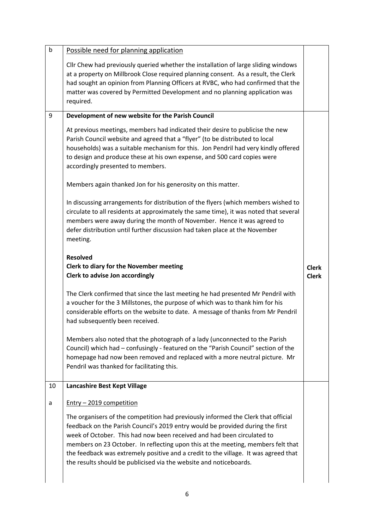| b  | Possible need for planning application                                                                                                                                                                                                                                                                                                                                                                                                                                                         |                              |
|----|------------------------------------------------------------------------------------------------------------------------------------------------------------------------------------------------------------------------------------------------------------------------------------------------------------------------------------------------------------------------------------------------------------------------------------------------------------------------------------------------|------------------------------|
|    | Cllr Chew had previously queried whether the installation of large sliding windows<br>at a property on Millbrook Close required planning consent. As a result, the Clerk<br>had sought an opinion from Planning Officers at RVBC, who had confirmed that the<br>matter was covered by Permitted Development and no planning application was<br>required.                                                                                                                                       |                              |
| 9  | Development of new website for the Parish Council                                                                                                                                                                                                                                                                                                                                                                                                                                              |                              |
|    | At previous meetings, members had indicated their desire to publicise the new<br>Parish Council website and agreed that a "flyer" (to be distributed to local<br>households) was a suitable mechanism for this. Jon Pendril had very kindly offered<br>to design and produce these at his own expense, and 500 card copies were<br>accordingly presented to members.                                                                                                                           |                              |
|    | Members again thanked Jon for his generosity on this matter.                                                                                                                                                                                                                                                                                                                                                                                                                                   |                              |
|    | In discussing arrangements for distribution of the flyers (which members wished to<br>circulate to all residents at approximately the same time), it was noted that several<br>members were away during the month of November. Hence it was agreed to<br>defer distribution until further discussion had taken place at the November<br>meeting.                                                                                                                                               |                              |
|    | <b>Resolved</b>                                                                                                                                                                                                                                                                                                                                                                                                                                                                                |                              |
|    | Clerk to diary for the November meeting<br><b>Clerk to advise Jon accordingly</b>                                                                                                                                                                                                                                                                                                                                                                                                              | <b>Clerk</b><br><b>Clerk</b> |
|    | The Clerk confirmed that since the last meeting he had presented Mr Pendril with<br>a voucher for the 3 Millstones, the purpose of which was to thank him for his<br>considerable efforts on the website to date. A message of thanks from Mr Pendril<br>had subsequently been received.                                                                                                                                                                                                       |                              |
|    | Members also noted that the photograph of a lady (unconnected to the Parish<br>Council) which had - confusingly - featured on the "Parish Council" section of the<br>homepage had now been removed and replaced with a more neutral picture. Mr<br>Pendril was thanked for facilitating this.                                                                                                                                                                                                  |                              |
| 10 | Lancashire Best Kept Village                                                                                                                                                                                                                                                                                                                                                                                                                                                                   |                              |
| a  | Entry - 2019 competition                                                                                                                                                                                                                                                                                                                                                                                                                                                                       |                              |
|    | The organisers of the competition had previously informed the Clerk that official<br>feedback on the Parish Council's 2019 entry would be provided during the first<br>week of October. This had now been received and had been circulated to<br>members on 23 October. In reflecting upon this at the meeting, members felt that<br>the feedback was extremely positive and a credit to the village. It was agreed that<br>the results should be publicised via the website and noticeboards. |                              |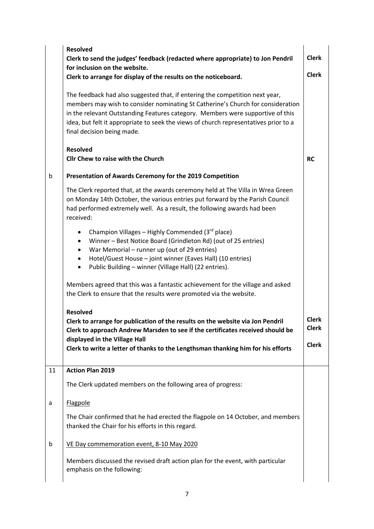|    | <b>Resolved</b><br>Clerk to send the judges' feedback (redacted where appropriate) to Jon Pendril<br>for inclusion on the website.                                                                                                                                                                                                                                      | <b>Clerk</b>                          |
|----|-------------------------------------------------------------------------------------------------------------------------------------------------------------------------------------------------------------------------------------------------------------------------------------------------------------------------------------------------------------------------|---------------------------------------|
|    | Clerk to arrange for display of the results on the noticeboard.                                                                                                                                                                                                                                                                                                         | <b>Clerk</b>                          |
|    | The feedback had also suggested that, if entering the competition next year,<br>members may wish to consider nominating St Catherine's Church for consideration<br>in the relevant Outstanding Features category. Members were supportive of this<br>idea, but felt it appropriate to seek the views of church representatives prior to a<br>final decision being made. |                                       |
|    | <b>Resolved</b><br><b>Cllr Chew to raise with the Church</b>                                                                                                                                                                                                                                                                                                            | <b>RC</b>                             |
| b  | Presentation of Awards Ceremony for the 2019 Competition                                                                                                                                                                                                                                                                                                                |                                       |
|    | The Clerk reported that, at the awards ceremony held at The Villa in Wrea Green<br>on Monday 14th October, the various entries put forward by the Parish Council<br>had performed extremely well. As a result, the following awards had been<br>received:                                                                                                               |                                       |
|    | Champion Villages - Highly Commended (3 <sup>rd</sup> place)<br>$\bullet$<br>Winner - Best Notice Board (Grindleton Rd) (out of 25 entries)<br>٠<br>War Memorial - runner up (out of 29 entries)<br>$\bullet$<br>Hotel/Guest House - joint winner (Eaves Hall) (10 entries)<br>٠<br>Public Building - winner (Village Hall) (22 entries).<br>$\bullet$                  |                                       |
|    | Members agreed that this was a fantastic achievement for the village and asked<br>the Clerk to ensure that the results were promoted via the website.                                                                                                                                                                                                                   |                                       |
|    | <b>Resolved</b><br>Clerk to arrange for publication of the results on the website via Jon Pendril<br>Clerk to approach Andrew Marsden to see if the certificates received should be<br>displayed in the Village Hall<br>Clerk to write a letter of thanks to the Lengthsman thanking him for his efforts                                                                | <b>Clerk</b><br>Clerk<br><b>Clerk</b> |
| 11 | <b>Action Plan 2019</b>                                                                                                                                                                                                                                                                                                                                                 |                                       |
|    | The Clerk updated members on the following area of progress:                                                                                                                                                                                                                                                                                                            |                                       |
| а  | Flagpole                                                                                                                                                                                                                                                                                                                                                                |                                       |
|    | The Chair confirmed that he had erected the flagpole on 14 October, and members<br>thanked the Chair for his efforts in this regard.                                                                                                                                                                                                                                    |                                       |
| b  | VE Day commemoration event, 8-10 May 2020                                                                                                                                                                                                                                                                                                                               |                                       |
|    | Members discussed the revised draft action plan for the event, with particular<br>emphasis on the following:                                                                                                                                                                                                                                                            |                                       |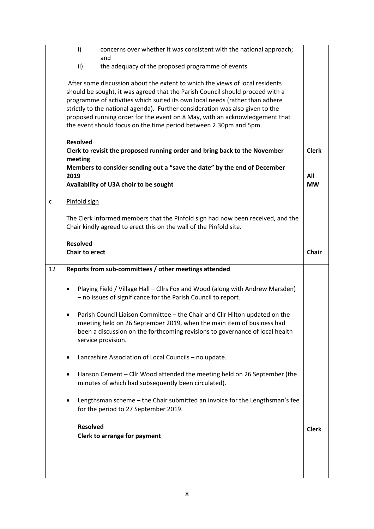|              | $\mathsf{i}$                             | concerns over whether it was consistent with the national approach;<br>and                                                                                                                                                                                                                                                                                                                                                                                                         |              |
|--------------|------------------------------------------|------------------------------------------------------------------------------------------------------------------------------------------------------------------------------------------------------------------------------------------------------------------------------------------------------------------------------------------------------------------------------------------------------------------------------------------------------------------------------------|--------------|
|              | ii)                                      | the adequacy of the proposed programme of events.                                                                                                                                                                                                                                                                                                                                                                                                                                  |              |
|              |                                          | After some discussion about the extent to which the views of local residents<br>should be sought, it was agreed that the Parish Council should proceed with a<br>programme of activities which suited its own local needs (rather than adhere<br>strictly to the national agenda). Further consideration was also given to the<br>proposed running order for the event on 8 May, with an acknowledgement that<br>the event should focus on the time period between 2.30pm and 5pm. |              |
|              | <b>Resolved</b><br>meeting               | Clerk to revisit the proposed running order and bring back to the November                                                                                                                                                                                                                                                                                                                                                                                                         | <b>Clerk</b> |
|              | 2019                                     | Members to consider sending out a "save the date" by the end of December                                                                                                                                                                                                                                                                                                                                                                                                           | All          |
|              |                                          | Availability of U3A choir to be sought                                                                                                                                                                                                                                                                                                                                                                                                                                             | <b>MW</b>    |
| $\mathsf{C}$ | Pinfold sign                             |                                                                                                                                                                                                                                                                                                                                                                                                                                                                                    |              |
|              |                                          | The Clerk informed members that the Pinfold sign had now been received, and the<br>Chair kindly agreed to erect this on the wall of the Pinfold site.                                                                                                                                                                                                                                                                                                                              |              |
|              | <b>Resolved</b><br><b>Chair to erect</b> |                                                                                                                                                                                                                                                                                                                                                                                                                                                                                    | <b>Chair</b> |
|              |                                          |                                                                                                                                                                                                                                                                                                                                                                                                                                                                                    |              |
| 12           |                                          | Reports from sub-committees / other meetings attended                                                                                                                                                                                                                                                                                                                                                                                                                              |              |
|              | ٠                                        | Playing Field / Village Hall - Cllrs Fox and Wood (along with Andrew Marsden)<br>- no issues of significance for the Parish Council to report.                                                                                                                                                                                                                                                                                                                                     |              |
|              |                                          | Parish Council Liaison Committee - the Chair and Cllr Hilton updated on the<br>meeting held on 26 September 2019, when the main item of business had<br>been a discussion on the forthcoming revisions to governance of local health<br>service provision.                                                                                                                                                                                                                         |              |
|              |                                          | Lancashire Association of Local Councils - no update.                                                                                                                                                                                                                                                                                                                                                                                                                              |              |
|              | ٠                                        | Hanson Cement - Cllr Wood attended the meeting held on 26 September (the<br>minutes of which had subsequently been circulated).                                                                                                                                                                                                                                                                                                                                                    |              |
|              | $\bullet$                                | Lengthsman scheme - the Chair submitted an invoice for the Lengthsman's fee<br>for the period to 27 September 2019.                                                                                                                                                                                                                                                                                                                                                                |              |
|              | <b>Resolved</b>                          | <b>Clerk to arrange for payment</b>                                                                                                                                                                                                                                                                                                                                                                                                                                                | <b>Clerk</b> |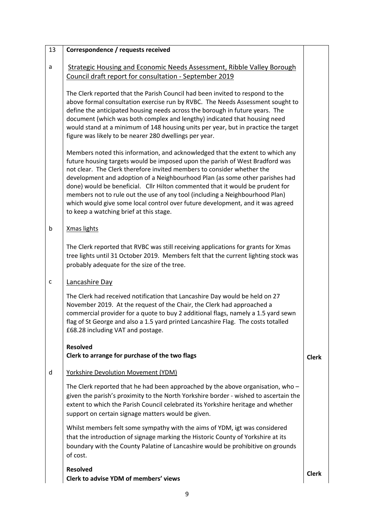| 13 | Correspondence / requests received                                                                                                                                                                                                                                                                                                                                                                                                                                                                                                                                                                                    |              |
|----|-----------------------------------------------------------------------------------------------------------------------------------------------------------------------------------------------------------------------------------------------------------------------------------------------------------------------------------------------------------------------------------------------------------------------------------------------------------------------------------------------------------------------------------------------------------------------------------------------------------------------|--------------|
| a  | <b>Strategic Housing and Economic Needs Assessment, Ribble Valley Borough</b><br>Council draft report for consultation - September 2019                                                                                                                                                                                                                                                                                                                                                                                                                                                                               |              |
|    | The Clerk reported that the Parish Council had been invited to respond to the<br>above formal consultation exercise run by RVBC. The Needs Assessment sought to<br>define the anticipated housing needs across the borough in future years. The<br>document (which was both complex and lengthy) indicated that housing need<br>would stand at a minimum of 148 housing units per year, but in practice the target<br>figure was likely to be nearer 280 dwellings per year.                                                                                                                                          |              |
|    | Members noted this information, and acknowledged that the extent to which any<br>future housing targets would be imposed upon the parish of West Bradford was<br>not clear. The Clerk therefore invited members to consider whether the<br>development and adoption of a Neighbourhood Plan (as some other parishes had<br>done) would be beneficial. Cllr Hilton commented that it would be prudent for<br>members not to rule out the use of any tool (including a Neighbourhood Plan)<br>which would give some local control over future development, and it was agreed<br>to keep a watching brief at this stage. |              |
| b  | Xmas lights                                                                                                                                                                                                                                                                                                                                                                                                                                                                                                                                                                                                           |              |
|    | The Clerk reported that RVBC was still receiving applications for grants for Xmas<br>tree lights until 31 October 2019. Members felt that the current lighting stock was<br>probably adequate for the size of the tree.                                                                                                                                                                                                                                                                                                                                                                                               |              |
| c  | Lancashire Day                                                                                                                                                                                                                                                                                                                                                                                                                                                                                                                                                                                                        |              |
|    | The Clerk had received notification that Lancashire Day would be held on 27<br>November 2019. At the request of the Chair, the Clerk had approached a<br>commercial provider for a quote to buy 2 additional flags, namely a 1.5 yard sewn<br>flag of St George and also a 1.5 yard printed Lancashire Flag. The costs totalled<br>£68.28 including VAT and postage.                                                                                                                                                                                                                                                  |              |
|    | <b>Resolved</b><br>Clerk to arrange for purchase of the two flags                                                                                                                                                                                                                                                                                                                                                                                                                                                                                                                                                     | <b>Clerk</b> |
| d  | <b>Yorkshire Devolution Movement (YDM)</b>                                                                                                                                                                                                                                                                                                                                                                                                                                                                                                                                                                            |              |
|    | The Clerk reported that he had been approached by the above organisation, who -<br>given the parish's proximity to the North Yorkshire border - wished to ascertain the<br>extent to which the Parish Council celebrated its Yorkshire heritage and whether<br>support on certain signage matters would be given.                                                                                                                                                                                                                                                                                                     |              |
|    | Whilst members felt some sympathy with the aims of YDM, igt was considered<br>that the introduction of signage marking the Historic County of Yorkshire at its<br>boundary with the County Palatine of Lancashire would be prohibitive on grounds<br>of cost.                                                                                                                                                                                                                                                                                                                                                         |              |
|    | <b>Resolved</b><br>Clerk to advise YDM of members' views                                                                                                                                                                                                                                                                                                                                                                                                                                                                                                                                                              | <b>Clerk</b> |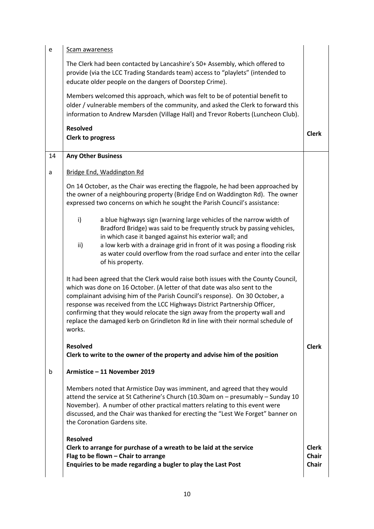| e  | Scam awareness                                                                                                                                                                                                                                                                                                                                                                                                                                                                                            |                                              |
|----|-----------------------------------------------------------------------------------------------------------------------------------------------------------------------------------------------------------------------------------------------------------------------------------------------------------------------------------------------------------------------------------------------------------------------------------------------------------------------------------------------------------|----------------------------------------------|
|    | The Clerk had been contacted by Lancashire's 50+ Assembly, which offered to<br>provide (via the LCC Trading Standards team) access to "playlets" (intended to<br>educate older people on the dangers of Doorstep Crime).                                                                                                                                                                                                                                                                                  |                                              |
|    | Members welcomed this approach, which was felt to be of potential benefit to<br>older / vulnerable members of the community, and asked the Clerk to forward this<br>information to Andrew Marsden (Village Hall) and Trevor Roberts (Luncheon Club).                                                                                                                                                                                                                                                      |                                              |
|    | <b>Resolved</b><br>Clerk to progress                                                                                                                                                                                                                                                                                                                                                                                                                                                                      | <b>Clerk</b>                                 |
| 14 | <b>Any Other Business</b>                                                                                                                                                                                                                                                                                                                                                                                                                                                                                 |                                              |
| a  | Bridge End, Waddington Rd                                                                                                                                                                                                                                                                                                                                                                                                                                                                                 |                                              |
|    | On 14 October, as the Chair was erecting the flagpole, he had been approached by<br>the owner of a neighbouring property (Bridge End on Waddington Rd). The owner<br>expressed two concerns on which he sought the Parish Council's assistance:                                                                                                                                                                                                                                                           |                                              |
|    | $\mathsf{i}$<br>a blue highways sign (warning large vehicles of the narrow width of<br>Bradford Bridge) was said to be frequently struck by passing vehicles,<br>in which case it banged against his exterior wall; and<br>ii)<br>a low kerb with a drainage grid in front of it was posing a flooding risk<br>as water could overflow from the road surface and enter into the cellar<br>of his property.                                                                                                |                                              |
|    | It had been agreed that the Clerk would raise both issues with the County Council,<br>which was done on 16 October. (A letter of that date was also sent to the<br>complainant advising him of the Parish Council's response). On 30 October, a<br>response was received from the LCC Highways District Partnership Officer,<br>confirming that they would relocate the sign away from the property wall and<br>replace the damaged kerb on Grindleton Rd in line with their normal schedule of<br>works. |                                              |
|    | <b>Resolved</b><br>Clerk to write to the owner of the property and advise him of the position                                                                                                                                                                                                                                                                                                                                                                                                             | <b>Clerk</b>                                 |
| b  | Armistice - 11 November 2019                                                                                                                                                                                                                                                                                                                                                                                                                                                                              |                                              |
|    | Members noted that Armistice Day was imminent, and agreed that they would<br>attend the service at St Catherine's Church (10.30am on - presumably - Sunday 10<br>November). A number of other practical matters relating to this event were<br>discussed, and the Chair was thanked for erecting the "Lest We Forget" banner on<br>the Coronation Gardens site.                                                                                                                                           |                                              |
|    | <b>Resolved</b><br>Clerk to arrange for purchase of a wreath to be laid at the service<br>Flag to be flown - Chair to arrange<br>Enquiries to be made regarding a bugler to play the Last Post                                                                                                                                                                                                                                                                                                            | <b>Clerk</b><br><b>Chair</b><br><b>Chair</b> |